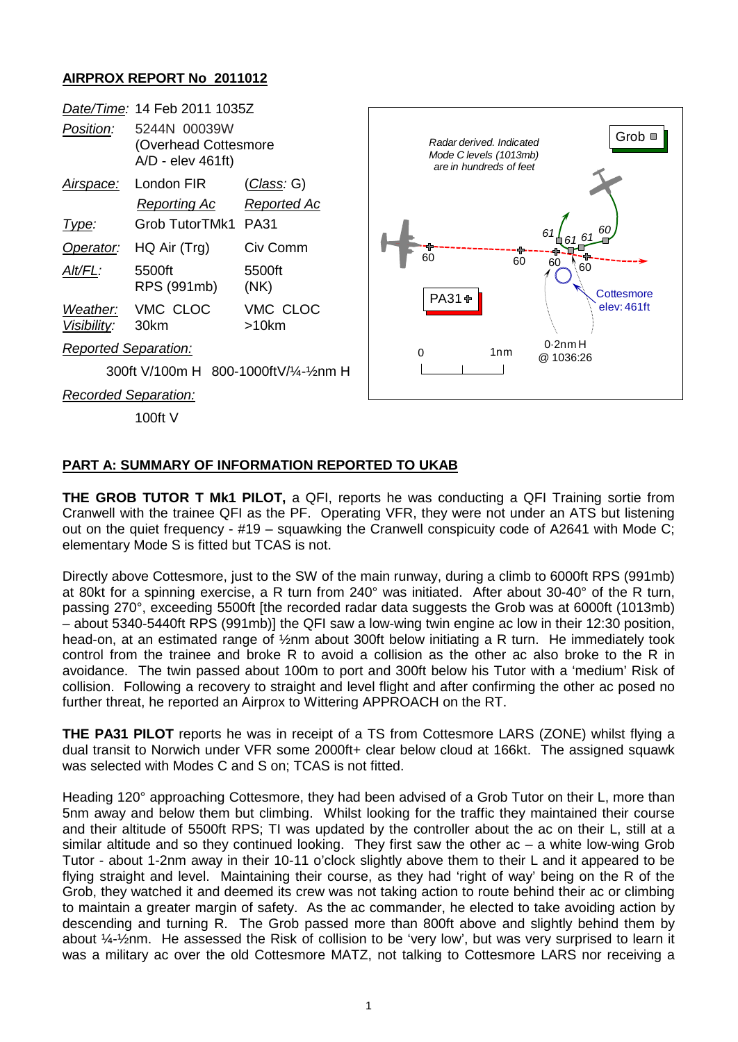## **AIRPROX REPORT No 2011012**



## **PART A: SUMMARY OF INFORMATION REPORTED TO UKAB**

**THE GROB TUTOR T Mk1 PILOT,** a QFI, reports he was conducting a QFI Training sortie from Cranwell with the trainee QFI as the PF. Operating VFR, they were not under an ATS but listening out on the quiet frequency - #19 – squawking the Cranwell conspicuity code of A2641 with Mode C; elementary Mode S is fitted but TCAS is not.

Directly above Cottesmore, just to the SW of the main runway, during a climb to 6000ft RPS (991mb) at 80kt for a spinning exercise, a R turn from 240° was initiated. After about 30-40° of the R turn, passing 270°, exceeding 5500ft [the recorded radar data suggests the Grob was at 6000ft (1013mb) – about 5340-5440ft RPS (991mb)] the QFI saw a low-wing twin engine ac low in their 12:30 position, head-on, at an estimated range of  $\frac{1}{2}$ nm about 300ft below initiating a R turn. He immediately took control from the trainee and broke R to avoid a collision as the other ac also broke to the R in avoidance. The twin passed about 100m to port and 300ft below his Tutor with a 'medium' Risk of collision. Following a recovery to straight and level flight and after confirming the other ac posed no further threat, he reported an Airprox to Wittering APPROACH on the RT.

**THE PA31 PILOT** reports he was in receipt of a TS from Cottesmore LARS (ZONE) whilst flying a dual transit to Norwich under VFR some 2000ft+ clear below cloud at 166kt. The assigned squawk was selected with Modes C and S on; TCAS is not fitted.

Heading 120° approaching Cottesmore, they had been advised of a Grob Tutor on their L, more than 5nm away and below them but climbing. Whilst looking for the traffic they maintained their course and their altitude of 5500ft RPS; TI was updated by the controller about the ac on their L, still at a similar altitude and so they continued looking. They first saw the other ac – a white low-wing Grob Tutor - about 1-2nm away in their 10-11 o'clock slightly above them to their L and it appeared to be flying straight and level. Maintaining their course, as they had 'right of way' being on the R of the Grob, they watched it and deemed its crew was not taking action to route behind their ac or climbing to maintain a greater margin of safety. As the ac commander, he elected to take avoiding action by descending and turning R. The Grob passed more than 800ft above and slightly behind them by about ¼-½nm. He assessed the Risk of collision to be 'very low', but was very surprised to learn it was a military ac over the old Cottesmore MATZ, not talking to Cottesmore LARS nor receiving a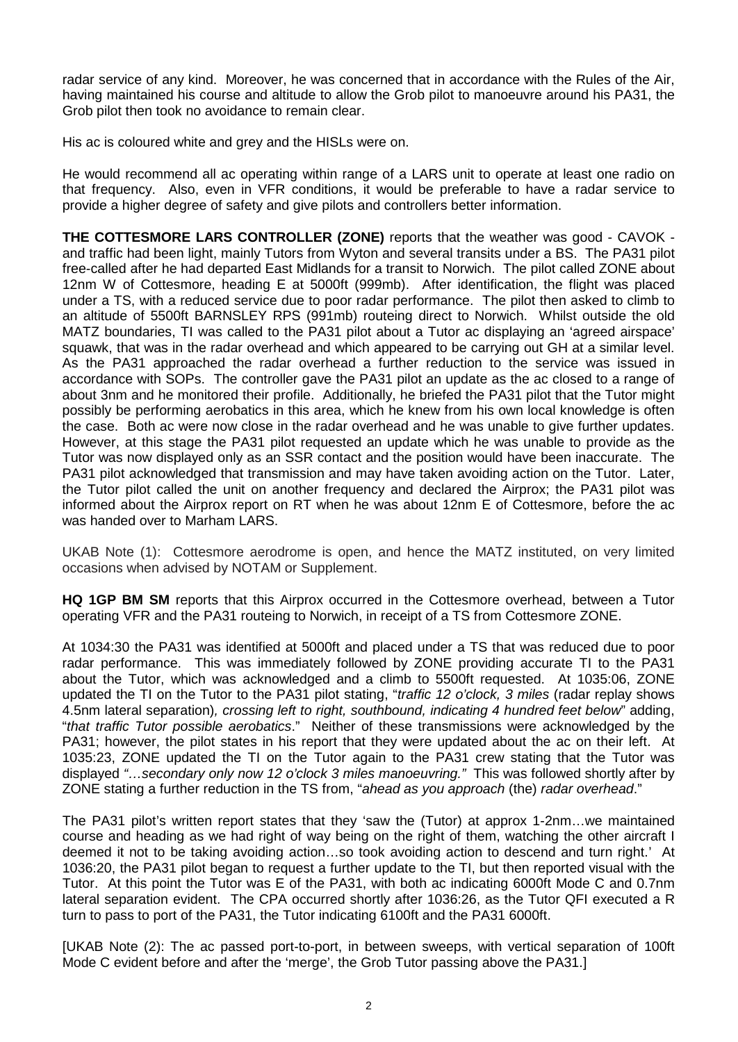radar service of any kind. Moreover, he was concerned that in accordance with the Rules of the Air, having maintained his course and altitude to allow the Grob pilot to manoeuvre around his PA31, the Grob pilot then took no avoidance to remain clear.

His ac is coloured white and grey and the HISLs were on.

He would recommend all ac operating within range of a LARS unit to operate at least one radio on that frequency. Also, even in VFR conditions, it would be preferable to have a radar service to provide a higher degree of safety and give pilots and controllers better information.

**THE COTTESMORE LARS CONTROLLER (ZONE)** reports that the weather was good - CAVOK and traffic had been light, mainly Tutors from Wyton and several transits under a BS. The PA31 pilot free-called after he had departed East Midlands for a transit to Norwich. The pilot called ZONE about 12nm W of Cottesmore, heading E at 5000ft (999mb). After identification, the flight was placed under a TS, with a reduced service due to poor radar performance. The pilot then asked to climb to an altitude of 5500ft BARNSLEY RPS (991mb) routeing direct to Norwich. Whilst outside the old MATZ boundaries, TI was called to the PA31 pilot about a Tutor ac displaying an 'agreed airspace' squawk, that was in the radar overhead and which appeared to be carrying out GH at a similar level. As the PA31 approached the radar overhead a further reduction to the service was issued in accordance with SOPs. The controller gave the PA31 pilot an update as the ac closed to a range of about 3nm and he monitored their profile. Additionally, he briefed the PA31 pilot that the Tutor might possibly be performing aerobatics in this area, which he knew from his own local knowledge is often the case. Both ac were now close in the radar overhead and he was unable to give further updates. However, at this stage the PA31 pilot requested an update which he was unable to provide as the Tutor was now displayed only as an SSR contact and the position would have been inaccurate. The PA31 pilot acknowledged that transmission and may have taken avoiding action on the Tutor. Later, the Tutor pilot called the unit on another frequency and declared the Airprox; the PA31 pilot was informed about the Airprox report on RT when he was about 12nm E of Cottesmore, before the ac was handed over to Marham LARS.

UKAB Note (1): Cottesmore aerodrome is open, and hence the MATZ instituted, on very limited occasions when advised by NOTAM or Supplement.

**HQ 1GP BM SM** reports that this Airprox occurred in the Cottesmore overhead, between a Tutor operating VFR and the PA31 routeing to Norwich, in receipt of a TS from Cottesmore ZONE.

At 1034:30 the PA31 was identified at 5000ft and placed under a TS that was reduced due to poor radar performance. This was immediately followed by ZONE providing accurate TI to the PA31 about the Tutor, which was acknowledged and a climb to 5500ft requested. At 1035:06, ZONE updated the TI on the Tutor to the PA31 pilot stating, "*traffic 12 o'clock, 3 miles* (radar replay shows 4.5nm lateral separation)*, crossing left to right, southbound, indicating 4 hundred feet below*" adding, "*that traffic Tutor possible aerobatics*." Neither of these transmissions were acknowledged by the PA31; however, the pilot states in his report that they were updated about the ac on their left. At 1035:23, ZONE updated the TI on the Tutor again to the PA31 crew stating that the Tutor was displayed *"…secondary only now 12 o'clock 3 miles manoeuvring."* This was followed shortly after by ZONE stating a further reduction in the TS from, "*ahead as you approach* (the) *radar overhead*."

The PA31 pilot's written report states that they 'saw the (Tutor) at approx 1-2nm…we maintained course and heading as we had right of way being on the right of them, watching the other aircraft I deemed it not to be taking avoiding action…so took avoiding action to descend and turn right.' At 1036:20, the PA31 pilot began to request a further update to the TI, but then reported visual with the Tutor. At this point the Tutor was E of the PA31, with both ac indicating 6000ft Mode C and 0.7nm lateral separation evident. The CPA occurred shortly after 1036:26, as the Tutor QFI executed a R turn to pass to port of the PA31, the Tutor indicating 6100ft and the PA31 6000ft.

[UKAB Note (2): The ac passed port-to-port, in between sweeps, with vertical separation of 100ft Mode C evident before and after the 'merge', the Grob Tutor passing above the PA31.]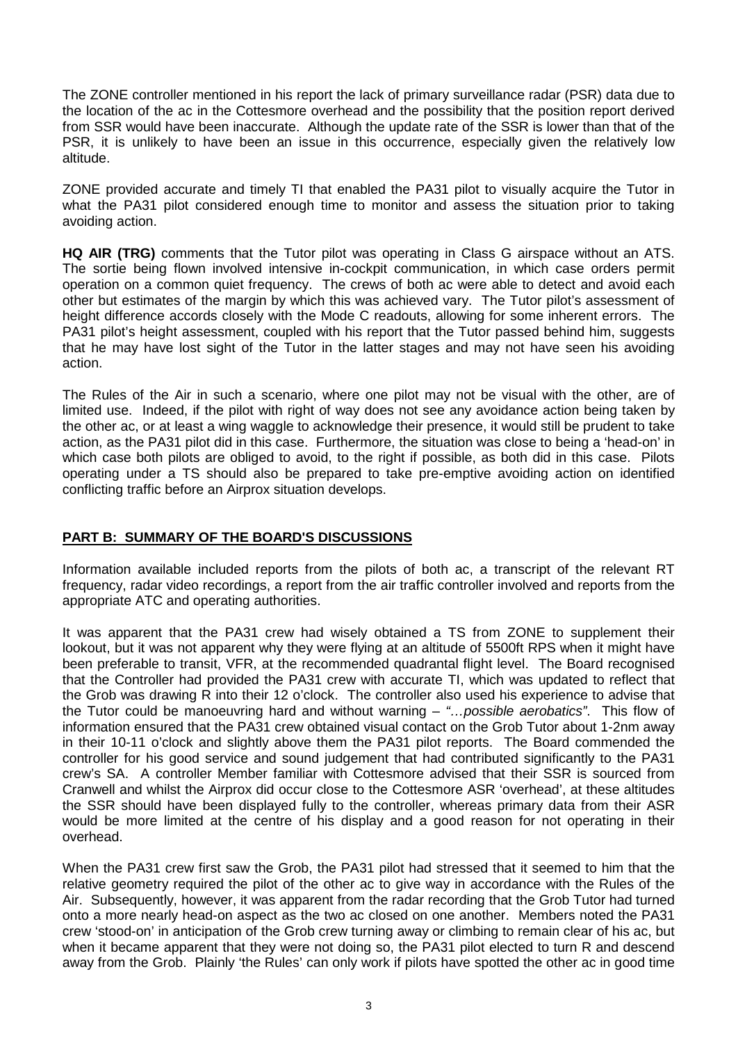The ZONE controller mentioned in his report the lack of primary surveillance radar (PSR) data due to the location of the ac in the Cottesmore overhead and the possibility that the position report derived from SSR would have been inaccurate. Although the update rate of the SSR is lower than that of the PSR, it is unlikely to have been an issue in this occurrence, especially given the relatively low altitude.

ZONE provided accurate and timely TI that enabled the PA31 pilot to visually acquire the Tutor in what the PA31 pilot considered enough time to monitor and assess the situation prior to taking avoiding action.

**HQ AIR (TRG)** comments that the Tutor pilot was operating in Class G airspace without an ATS. The sortie being flown involved intensive in-cockpit communication, in which case orders permit operation on a common quiet frequency. The crews of both ac were able to detect and avoid each other but estimates of the margin by which this was achieved vary. The Tutor pilot's assessment of height difference accords closely with the Mode C readouts, allowing for some inherent errors. The PA31 pilot's height assessment, coupled with his report that the Tutor passed behind him, suggests that he may have lost sight of the Tutor in the latter stages and may not have seen his avoiding action.

The Rules of the Air in such a scenario, where one pilot may not be visual with the other, are of limited use. Indeed, if the pilot with right of way does not see any avoidance action being taken by the other ac, or at least a wing waggle to acknowledge their presence, it would still be prudent to take action, as the PA31 pilot did in this case. Furthermore, the situation was close to being a 'head-on' in which case both pilots are obliged to avoid, to the right if possible, as both did in this case. Pilots operating under a TS should also be prepared to take pre-emptive avoiding action on identified conflicting traffic before an Airprox situation develops.

## **PART B: SUMMARY OF THE BOARD'S DISCUSSIONS**

Information available included reports from the pilots of both ac, a transcript of the relevant RT frequency, radar video recordings, a report from the air traffic controller involved and reports from the appropriate ATC and operating authorities.

It was apparent that the PA31 crew had wisely obtained a TS from ZONE to supplement their lookout, but it was not apparent why they were flying at an altitude of 5500ft RPS when it might have been preferable to transit, VFR, at the recommended quadrantal flight level. The Board recognised that the Controller had provided the PA31 crew with accurate TI, which was updated to reflect that the Grob was drawing R into their 12 o'clock. The controller also used his experience to advise that the Tutor could be manoeuvring hard and without warning – *"…possible aerobatics"*. This flow of information ensured that the PA31 crew obtained visual contact on the Grob Tutor about 1-2nm away in their 10-11 o'clock and slightly above them the PA31 pilot reports. The Board commended the controller for his good service and sound judgement that had contributed significantly to the PA31 crew's SA. A controller Member familiar with Cottesmore advised that their SSR is sourced from Cranwell and whilst the Airprox did occur close to the Cottesmore ASR 'overhead', at these altitudes the SSR should have been displayed fully to the controller, whereas primary data from their ASR would be more limited at the centre of his display and a good reason for not operating in their overhead.

When the PA31 crew first saw the Grob, the PA31 pilot had stressed that it seemed to him that the relative geometry required the pilot of the other ac to give way in accordance with the Rules of the Air. Subsequently, however, it was apparent from the radar recording that the Grob Tutor had turned onto a more nearly head-on aspect as the two ac closed on one another. Members noted the PA31 crew 'stood-on' in anticipation of the Grob crew turning away or climbing to remain clear of his ac, but when it became apparent that they were not doing so, the PA31 pilot elected to turn R and descend away from the Grob. Plainly 'the Rules' can only work if pilots have spotted the other ac in good time